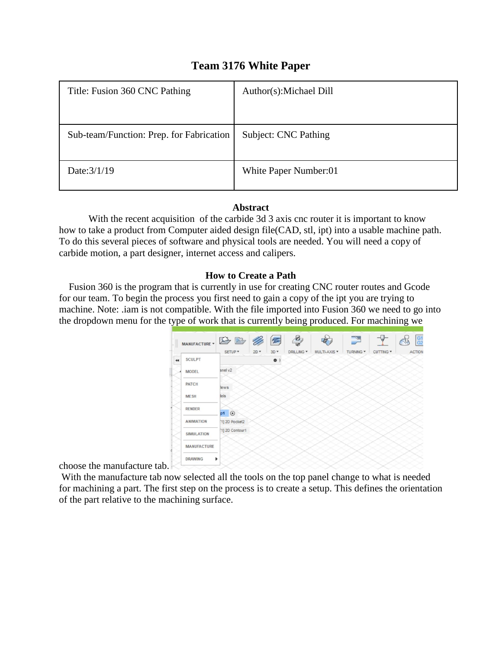## **Team 3176 White Paper**

| Title: Fusion 360 CNC Pathing            | Author(s): Michael Dill |
|------------------------------------------|-------------------------|
|                                          |                         |
| Sub-team/Function: Prep. for Fabrication | Subject: CNC Pathing    |
|                                          |                         |
| Date: 3/1/19                             | White Paper Number:01   |
|                                          |                         |

## **Abstract**

With the recent acquisition of the carbide 3d 3 axis cnc router it is important to know how to take a product from Computer aided design file(CAD, stl, ipt) into a usable machine path. To do this several pieces of software and physical tools are needed. You will need a copy of carbide motion, a part designer, internet access and calipers.

## **How to Create a Path**

 Fusion 360 is the program that is currently in use for creating CNC router routes and Gcode for our team. To begin the process you first need to gain a copy of the ipt you are trying to machine. Note: .iam is not compatible. With the file imported into Fusion 360 we need to go into the dropdown menu for the type of work that is currently being produced. For machining we



choose the manufacture tab.

With the manufacture tab now selected all the tools on the top panel change to what is needed for machining a part. The first step on the process is to create a setup. This defines the orientation of the part relative to the machining surface.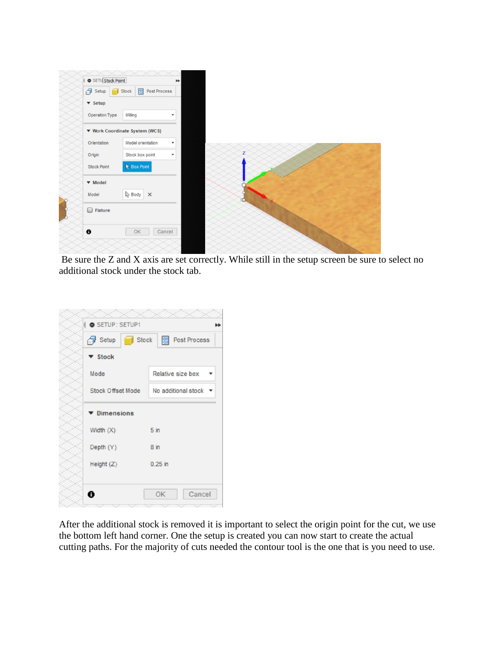

Be sure the Z and X axis are set correctly. While still in the setup screen be sure to select no additional stock under the stock tab.

|             | Setup Stock 8 Post Process            |
|-------------|---------------------------------------|
| ▼ Stock     |                                       |
| Mode        | Relative size box •                   |
|             | Stock Offset Mode No additional stock |
| Dimensions  |                                       |
| Width $(X)$ | 5 in                                  |
| Depth (Y)   | 8 <sub>in</sub>                       |
| Height(Z)   | $0.25$ in                             |

After the additional stock is removed it is important to select the origin point for the cut, we use the bottom left hand corner. One the setup is created you can now start to create the actual cutting paths. For the majority of cuts needed the contour tool is the one that is you need to use.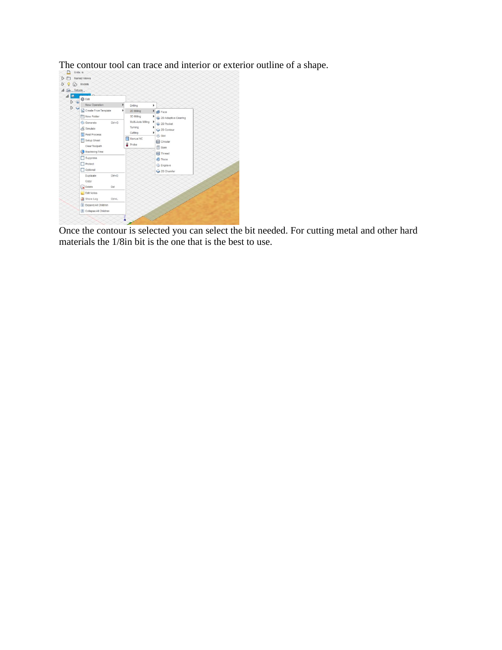

Once the contour is selected you can select the bit needed. For cutting metal and other hard materials the 1/8in bit is the one that is the best to use.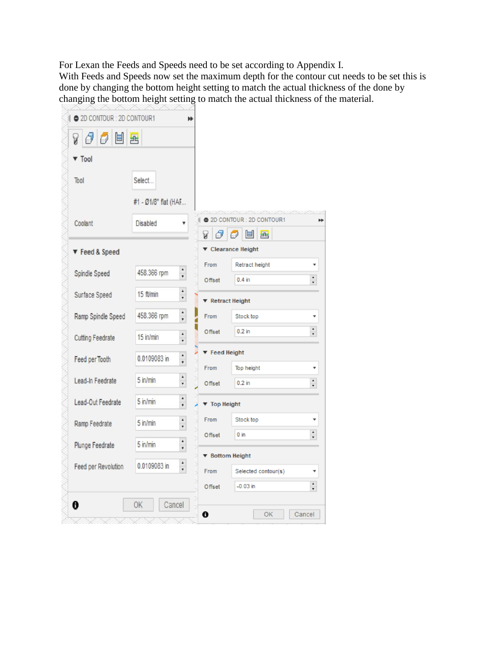For Lexan the Feeds and Speeds need to be set according to Appendix I. With Feeds and Speeds now set the maximum depth for the contour cut needs to be set this is done by changing the bottom height setting to match the actual thickness of the done by changing the bottom height setting to match the actual thickness of the material.

| <b>V</b> Tool           |                      |                       |                                     |                                      |                  |
|-------------------------|----------------------|-----------------------|-------------------------------------|--------------------------------------|------------------|
| Tool                    | Select               |                       |                                     |                                      |                  |
|                         | #1 - Ø1/8" flat (HAF |                       |                                     |                                      |                  |
| Coolant                 | Disabled             | ۳                     |                                     | 2D CONTOUR : 2D CONTOUR1             |                  |
| ▼ Feed & Speed          |                      |                       | ð<br>A                              | 固民<br>$\sigma$<br>▼ Clearance Height |                  |
|                         |                      | ۰                     | From                                | Retract height                       |                  |
| Spindle Speed           | 458.366 rpm          | ۰.                    | Offset                              | $0.4$ in                             |                  |
| Surface Speed           | 15 ft/min            | $\blacktriangle$      | $\blacktriangledown$ Retract Height |                                      |                  |
| Ramp Spindle Speed      | 458.366 rpm          | $\blacktriangle$<br>٠ | From                                | Stock top                            |                  |
| <b>Cutting Feedrate</b> | 15 in/min            | ۰<br>,                | Offset                              | $0.2$ in                             | $\ddot{\cdot}$   |
|                         | 0.0109083 in         | $\ddot{\cdot}$        | $\blacktriangledown$ Feed Height    |                                      |                  |
| Feed per Tooth          |                      |                       | From                                | Top height                           |                  |
| Lead-In Feedrate        | $5$ in/min           | ٠<br>,                | Offset                              | $0.2$ in                             | $\frac{1}{\tau}$ |
| Lead-Out Feedrate       | $5$ in/min           | ۸<br>$\bullet$        | ▼ Top Height                        |                                      |                  |
| Ramp Feedrate           | $5$ in/min           | $\blacktriangle$<br>۰ | From                                | Stock top                            |                  |
|                         |                      | ۰                     | Offset                              | $0$ in                               |                  |
| Plunge Feedrate         | $5$ in/min           | ,                     | ▼ Bottom Height                     |                                      |                  |
| Feed per Revolution     | 0.0109083 in         | $\ddot{\phantom{0}}$  | From                                | Selected contour(s)                  |                  |
|                         |                      |                       | Offset                              | $-0.03$ in                           | $\div$           |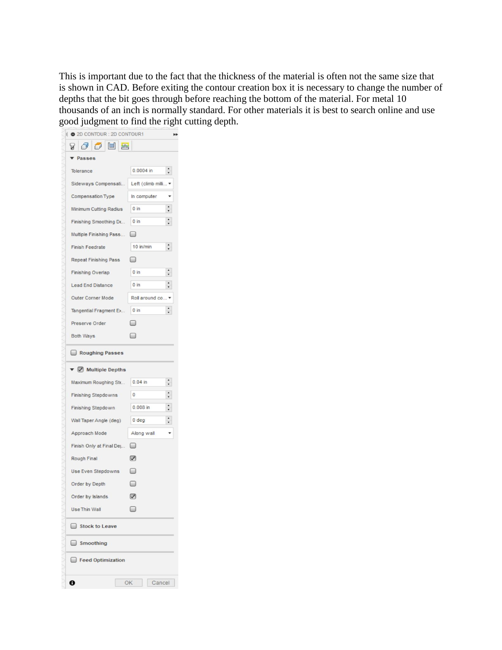This is important due to the fact that the thickness of the material is often not the same size that is shown in CAD. Before exiting the contour creation box it is necessary to change the number of depths that the bit goes through before reaching the bottom of the material. For metal 10 thousands of an inch is normally standard. For other materials it is best to search online and use good judgment to find the right cutting depth.

| 2D CONTOUR : 2D CONTOUR1                 |                               | н |  |  |  |
|------------------------------------------|-------------------------------|---|--|--|--|
| 700 E E                                  |                               |   |  |  |  |
| Passes                                   |                               |   |  |  |  |
| Tolerance                                | $\ddot{\cdot}$<br>$0.0004$ in |   |  |  |  |
| Sideways Compensati                      | Left (climb milli v           |   |  |  |  |
| Compensation Type<br>In computer         |                               |   |  |  |  |
| $0 \text{ in}$<br>Minimum Cutting Radius |                               |   |  |  |  |
| Finishing Smoothing De                   | 0 <sub>in</sub>               |   |  |  |  |
| Multiple Finishing Pass<br>◡             |                               |   |  |  |  |
| <b>Finish Feedrate</b>                   | 10 in/min                     |   |  |  |  |
| Repeat Finishing Pass                    |                               |   |  |  |  |
| <b>Finishing Overlap</b>                 | 0 in                          |   |  |  |  |
| <b>Lead End Distance</b>                 | 0 in                          |   |  |  |  |
| Outer Corner Mode<br>Roll around co      |                               |   |  |  |  |
| Tangential Fragment Ex                   | 0 in                          |   |  |  |  |
| Preserve Order                           |                               |   |  |  |  |
| Both Ways                                |                               |   |  |  |  |
| Roughing Passes                          |                               |   |  |  |  |
| ▼ Multiple Depths                        |                               |   |  |  |  |
| Maximum Roughing Ste                     | $0.04$ in                     |   |  |  |  |
| Finishing Stepdowns                      | $\mathbf{0}$                  |   |  |  |  |
| Finishing Stepdown                       | 0.008 in                      |   |  |  |  |
| Wall Taper Angle (deg)                   | 0 deg                         |   |  |  |  |
| Approach Mode                            | Along wall                    |   |  |  |  |
| Finish Only at Final Dej                 | ⊌                             |   |  |  |  |
| Rough Final                              | $\triangledown$               |   |  |  |  |
| Use Even Stepdowns                       |                               |   |  |  |  |
| Order by Depth                           |                               |   |  |  |  |
| Order by Islands                         |                               |   |  |  |  |
| Use Thin Wall                            |                               |   |  |  |  |
| Stock to Leave                           |                               |   |  |  |  |
| Smoothing                                |                               |   |  |  |  |
| Feed Optimization                        |                               |   |  |  |  |
| 0                                        | OK<br>Cancel                  |   |  |  |  |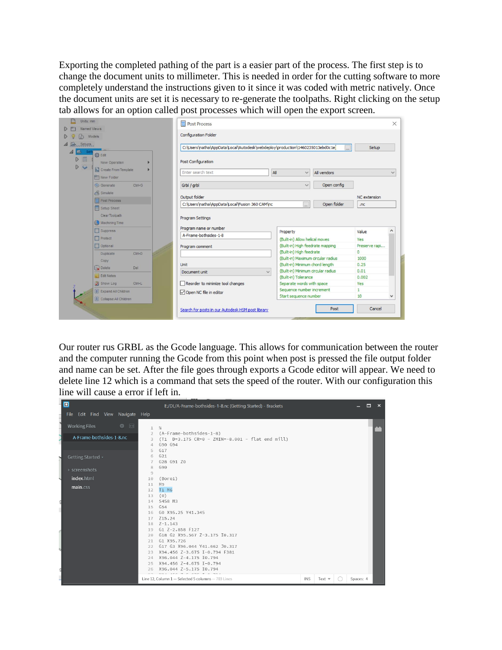Exporting the completed pathing of the part is a easier part of the process. The first step is to change the document units to millimeter. This is needed in order for the cutting software to more completely understand the instructions given to it since it was coded with metric natively. Once the document units are set it is necessary to re-generate the toolpaths. Right clicking on the setup tab allows for an option called post processes which will open the export screen.

| Units: mm                    | Named Views                                  | <b>Post Process</b>                                                                             |                                                                       | $\times$           |
|------------------------------|----------------------------------------------|-------------------------------------------------------------------------------------------------|-----------------------------------------------------------------------|--------------------|
| ſЬ                           | Models                                       | <b>Configuration Folder</b>                                                                     |                                                                       |                    |
| 4 B. Setups<br><b>EA</b> Set |                                              | C:\Users\natha\AppData\Local\Autodesk\webdeploy\production\1460235013ebd0c1e\                   |                                                                       | Setup              |
| $\triangleright$<br>D        | <b>卷</b> Edit<br>New Operation               | Post Configuration                                                                              |                                                                       |                    |
|                              | Create From Template<br><b>PT</b> New Folder | Enter search text                                                                               | All<br>All vendors<br>$\checkmark$                                    | $\checkmark$       |
|                              | <b>Generate</b><br>$Ctrl + G$                | Grbl / grbl                                                                                     | Open config<br>$\checkmark$                                           |                    |
|                              | Simulate                                     | Output folder                                                                                   |                                                                       | NC extension       |
|                              | Post Process<br>Setup Sheet                  | C:\Users\natha\AppData\Local\Fusion 360 CAM\nc<br>Open folder<br>$\overline{\phantom{a}}$<br>nc |                                                                       |                    |
|                              | Clear Toolpath<br>Machining Time             | Program Settings                                                                                |                                                                       |                    |
|                              | Suppress                                     | Program name or number                                                                          |                                                                       |                    |
|                              | Protect                                      | A-Frame-bothsides-1-8                                                                           | Property<br>(Built-in) Allow helical moves                            | Value<br>Yes       |
|                              | Optional                                     | Program comment                                                                                 | (Built-in) High feedrate mapping                                      | Preserve rapi      |
|                              | Duplicate<br>$Ctrl + D$                      |                                                                                                 | (Built-in) High feedrate                                              | $\Omega$           |
|                              | Copy                                         |                                                                                                 | (Built-in) Maximum circular radius                                    | 1000               |
|                              | Delete<br>Del                                | <b>Unit</b>                                                                                     | (Built-in) Minimum chord length<br>(Built-in) Minimum circular radius | 0.25<br>0.01       |
|                              | Edit Notes                                   | $\checkmark$<br>Document unit                                                                   | (Built-in) Tolerance                                                  | 0.002              |
|                              | Show Log<br>$Ctrl+L$                         | Reorder to minimize tool changes                                                                | Separate words with space                                             | Yes                |
|                              | <b>V</b> Expand All Children                 |                                                                                                 | Sequence number increment                                             | $\mathbf{1}$       |
|                              | Collapse All Children                        | Open NC file in editor                                                                          | Start sequence number                                                 | 10<br>$\checkmark$ |
|                              |                                              | Search for posts in our Autodesk HSM post library                                               | Post                                                                  | Cancel             |
|                              |                                              |                                                                                                 |                                                                       |                    |

Our router rus GRBL as the Gcode language. This allows for communication between the router and the computer running the Gcode from this point when post is pressed the file output folder and name can be set. After the file goes through exports a Gcode editor will appear. We need to delete line 12 which is a command that sets the speed of the router. With our configuration this line will cause a error if left in.

| $\blacksquare$                                          | E:/DL/A-Frame-bothsides-1-8.nc (Getting Started) - Brackets                                                                                                                                                                           | о<br>$\mathbf{x}$ |  |
|---------------------------------------------------------|---------------------------------------------------------------------------------------------------------------------------------------------------------------------------------------------------------------------------------------|-------------------|--|
| File Edit Find View Navigate Help                       |                                                                                                                                                                                                                                       |                   |  |
| 春 回<br><b>Working Files</b><br>A-Frame-bothsides-1-8.nc | $^{0}_{0}$<br>$\mathbb{1}$<br>(A-Frame-bothsides-1-8)<br>$\overline{2}$<br>(T1 D=3.175 CR=0 - ZMIN=-8.001 - flat end mill)<br>3<br>G90 G94<br>$\overline{4}$                                                                          |                   |  |
| Getting Started +<br>$\triangleright$ screenshots       | G17<br>5<br>G21<br>6<br>G28 G91 Z0<br>$\tau$<br>G90<br>8                                                                                                                                                                              |                   |  |
| index.html                                              | $\Theta$<br>(Bore1)<br>10<br>M9<br>11                                                                                                                                                                                                 |                   |  |
| main.css                                                | T1 M6<br>12<br>(0)<br>13<br>S458 M3<br>14<br>G54<br>15<br>G0 X95.25 Y41.345<br>16<br>Z15.24<br>17<br>$Z - 1.143$<br>18<br>G1 Z-2.858 F127<br>19                                                                                       |                   |  |
|                                                         | G18 G2 X95.567 Z-3.175 I0.317<br>20<br>G1 X95.726<br>21<br>G17 G3 X96.044 Y41.662 J0.317<br>フフ<br>X94.456 Z-3.675 I-0.794 F381<br>23<br>X96.044 Z-4.175 I0.794<br>24<br>X94.456 Z-4.675 I-0.794<br>25<br>X96.044 Z-5.175 I0.794<br>26 |                   |  |
|                                                         | Line 12, Column 1 - Selected 5 columns - 703 Lines<br><b>INS</b><br>Text $\overline{\phantom{1}}$<br>$\left( \begin{array}{c} \end{array} \right)$                                                                                    | Spaces: 4         |  |